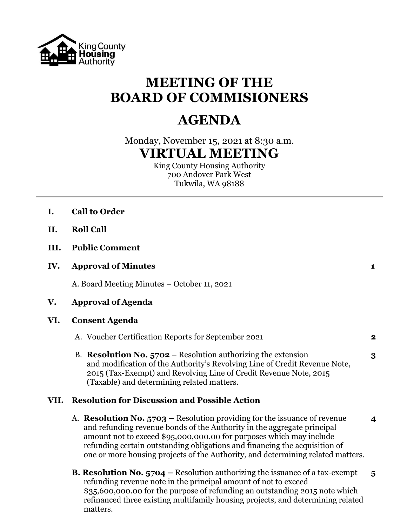

## **MEETING OF THE BOARD OF COMMISIONERS**

## **AGENDA**

Monday, November 15, 2021 at 8:30 a.m. **VIRTUAL MEETING**

King County Housing Authority 700 Andover Park West Tukwila, WA 98188

- **I. Call to Order**
- **II. Roll Call**
- **III. Public Comment**
- **IV. Approval of Minutes 1**

A. Board Meeting Minutes – October 11, 2021

- **V. Approval of Agenda**
- **VI. Consent Agenda**

|  | A. Voucher Certification Reports for September 2021 |  |
|--|-----------------------------------------------------|--|
|--|-----------------------------------------------------|--|

B. **Resolution No. 5702** – Resolution authorizing the extension **3** and modification of the Authority's Revolving Line of Credit Revenue Note, 2015 (Tax-Exempt) and Revolving Line of Credit Revenue Note, 2015 (Taxable) and determining related matters.

## **VII. Resolution for Discussion and Possible Action**

- A. **Resolution No. 5703 –** Resolution providing for the issuance of revenue **4** and refunding revenue bonds of the Authority in the aggregate principal amount not to exceed \$95,000,000.00 for purposes which may include refunding certain outstanding obligations and financing the acquisition of one or more housing projects of the Authority, and determining related matters.
- **B. Resolution No. 5704 –** Resolution authorizing the issuance of a tax-exempt **5** refunding revenue note in the principal amount of not to exceed \$35,600,000.00 for the purpose of refunding an outstanding 2015 note which refinanced three existing multifamily housing projects, and determining related matters.